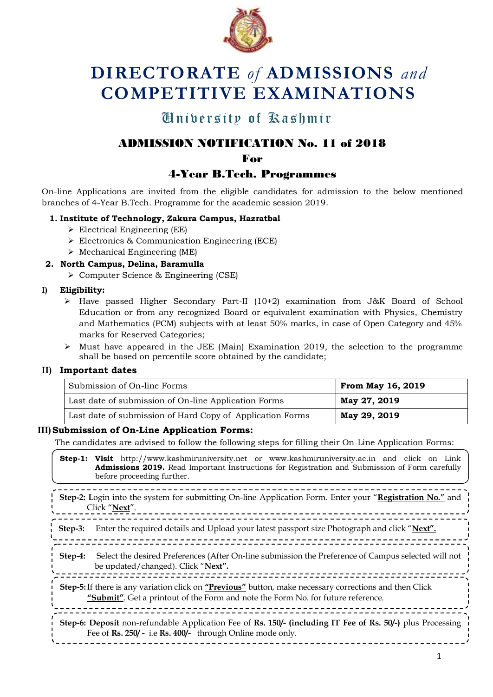

# **DIRECTORATE** *of* **ADMISSIONS** *and* **COMPETITIVE EXAMINATIONS**

## University of Kashmir University of Kashmir

## ADMISSION NOTIFICATION No. 11 of 2018

For

## 4-Year B.Tech. Programmes

On-line Applications are invited from the eligible candidates for admission to the below mentioned branches of 4-Year B.Tech. Programme for the academic session 2019.

#### **1. Institute of Technology, Zakura Campus, Hazratbal**

- $\triangleright$  Electrical Engineering (EE)
- Electronics & Communication Engineering (ECE)
- $\triangleright$  Mechanical Engineering (ME)

#### **2. North Campus, Delina, Baramulla**

Computer Science & Engineering (CSE)

#### **I) Eligibility:**

- $\triangleright$  Have passed Higher Secondary Part-II (10+2) examination from J&K Board of School Education or from any recognized Board or equivalent examination with Physics, Chemistry and Mathematics (PCM) subjects with at least 50% marks, in case of Open Category and 45% marks for Reserved Categories;
- $\triangleright$  Must have appeared in the JEE (Main) Examination 2019, the selection to the programme shall be based on percentile score obtained by the candidate;

#### **II) Important dates**

| Submission of On-line Forms                               | <b>From May 16, 2019</b> |
|-----------------------------------------------------------|--------------------------|
| Last date of submission of On-line Application Forms      | May 27, 2019             |
| Last date of submission of Hard Copy of Application Forms | May 29, 2019             |

#### **III)Submission of On-Line Application Forms:**

The candidates are advised to follow the following steps for filling their On-Line Application Forms:

**Step-1: Visit** [http://www.kashmiruniversity.net](http://www.kashmiruniversity.net/) or www.kashmiruniversity.ac.in and click on Link **Admissions 2019.** Read Important Instructions for Registration and Submission of Form carefully before proceeding further.

-------------------------------**Step-2: L**ogin into the system for submitting On-line Application Form. Enter your "**Registration No."** and Click "**Next**". **Step-3:** Enter the required details and Upload your latest passport size Photograph and click "**Next". Step-4:** Select the desired Preferences (After On-line submission the Preference of Campus selected will not be updated/changed). Click "**Next". Step-5:**If there is any variation click on **"Previous"** button, make necessary corrections and then Click **"Submit"**. Get a printout of the Form and note the Form No. for future reference. ,,,,,,,,,,,,,,,, **Step-6: Deposit** non-refundable Application Fee of **Rs. 150/- (including IT Fee of Rs. 50/-)** plus Processing Fee of **Rs. 250/ -** i.e **Rs. 400/-** through Online mode only.